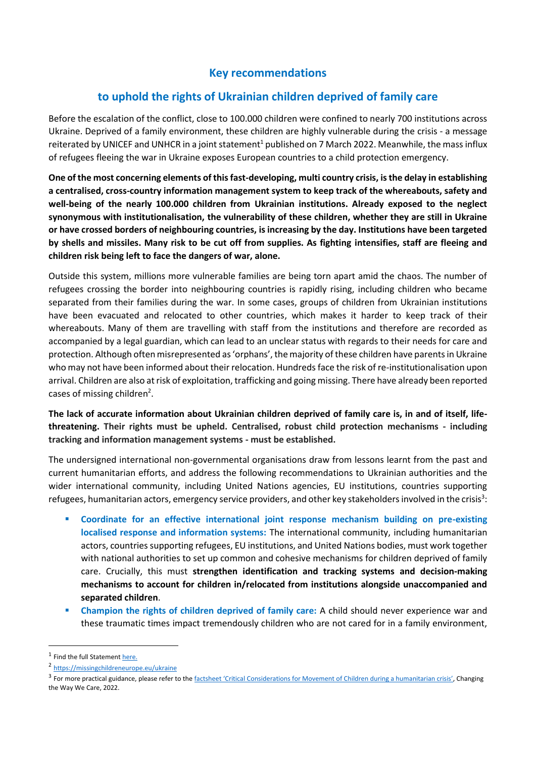## **Key recommendations**

## **to uphold the rights of Ukrainian children deprived of family care**

Before the escalation of the conflict, close to 100.000 children were confined to nearly 700 institutions across Ukraine. Deprived of a family environment, these children are highly vulnerable during the crisis - a message reiterated by UNICEF and UNHCR in a joint statement<sup>1</sup> published on 7 March 2022. Meanwhile, the mass influx of refugees fleeing the war in Ukraine exposes European countries to a child protection emergency.

**One of the most concerning elements of this fast-developing, multi country crisis, is the delay in establishing a centralised, cross-country information management system to keep track of the whereabouts, safety and well-being of the nearly 100.000 children from Ukrainian institutions. Already exposed to the neglect synonymous with institutionalisation, the vulnerability of these children, whether they are still in Ukraine or have crossed borders of neighbouring countries, is increasing by the day. Institutions have been targeted by shells and missiles. Many risk to be cut off from supplies. As fighting intensifies, staff are fleeing and children risk being left to face the dangers of war, alone.** 

Outside this system, millions more vulnerable families are being torn apart amid the chaos. The number of refugees crossing the border into neighbouring countries is rapidly rising, including children who became separated from their families during the war. In some cases, groups of children from Ukrainian institutions have been evacuated and relocated to other countries, which makes it harder to keep track of their whereabouts. Many of them are travelling with staff from the institutions and therefore are recorded as accompanied by a legal guardian, which can lead to an unclear status with regards to their needs for care and protection. Although often misrepresented as 'orphans', the majority of these children have parents in Ukraine who may not have been informed about their relocation. Hundreds face the risk of re-institutionalisation upon arrival. Children are also at risk of exploitation, trafficking and going missing. There have already been reported cases of missing children<sup>2</sup>.

**The lack of accurate information about Ukrainian children deprived of family care is, in and of itself, lifethreatening. Their rights must be upheld. Centralised, robust child protection mechanisms - including tracking and information management systems - must be established.**

The undersigned international non-governmental organisations draw from lessons learnt from the past and current humanitarian efforts, and address the following recommendations to Ukrainian authorities and the wider international community, including United Nations agencies, EU institutions, countries supporting refugees, humanitarian actors, emergency service providers, and other key stakeholders involved in the crisis<sup>3</sup>:

- **Coordinate for an effective international joint response mechanism building on pre-existing localised response and information systems:** The international community, including humanitarian actors, countries supporting refugees, EU institutions, and United Nations bodies, must work together with national authorities to set up common and cohesive mechanisms for children deprived of family care. Crucially, this must **strengthen identification and tracking systems and decision-making mechanisms to account for children in/relocated from institutions alongside unaccompanied and separated children**.
- **EXECO IDENT Champion the rights of children deprived of family care:** A child should never experience war and these traumatic times impact tremendously children who are not cared for in a family environment,

<sup>&</sup>lt;sup>1</sup> Find the full Statemen[t here.](https://www.unicef.org/press-releases/unaccompanied-and-separated-children-fleeing-escalating-conflict-ukraine-must-be)

<sup>2</sup> <https://missingchildreneurope.eu/ukraine>

<sup>&</sup>lt;sup>3</sup> For more practical guidance, please refer to the factsheet '[Critical Considerations for Movement of](https://bettercarenetwork.org/sites/default/files/2022-03/326%20Critical%20Considerations%20When%20Receiving%20Groups%20of%20Children.pdf) Children during a humanitarian crisis', Changing the Way We Care, 2022.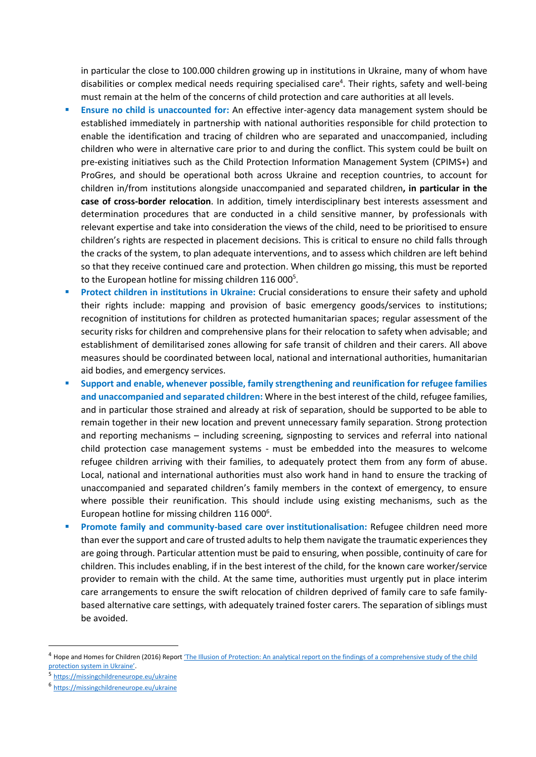in particular the close to 100.000 children growing up in institutions in Ukraine, many of whom have disabilities or complex medical needs requiring specialised care<sup>4</sup>. Their rights, safety and well-being must remain at the helm of the concerns of child protection and care authorities at all levels.

- **Ensure no child is unaccounted for:** An effective inter-agency data management system should be established immediately in partnership with national authorities responsible for child protection to enable the identification and tracing of children who are separated and unaccompanied, including children who were in alternative care prior to and during the conflict. This system could be built on pre-existing initiatives such as the Child Protection Information Management System (CPIMS+) and ProGres, and should be operational both across Ukraine and reception countries, to account for children in/from institutions alongside unaccompanied and separated children**, in particular in the case of cross-border relocation**. In addition, timely interdisciplinary best interests assessment and determination procedures that are conducted in a child sensitive manner, by professionals with relevant expertise and take into consideration the views of the child, need to be prioritised to ensure children's rights are respected in placement decisions. This is critical to ensure no child falls through the cracks of the system, to plan adequate interventions, and to assess which children are left behind so that they receive continued care and protection. When children go missing, this must be reported to the European hotline for missing children 116 000<sup>5</sup>.
- **Protect children in institutions in Ukraine:** Crucial considerations to ensure their safety and uphold their rights include: mapping and provision of basic emergency goods/services to institutions; recognition of institutions for children as protected humanitarian spaces; regular assessment of the security risks for children and comprehensive plans for their relocation to safety when advisable; and establishment of demilitarised zones allowing for safe transit of children and their carers. All above measures should be coordinated between local, national and international authorities, humanitarian aid bodies, and emergency services.
- Support and enable, whenever possible, family strengthening and reunification for refugee families **and unaccompanied and separated children:** Where in the best interest of the child, refugee families, and in particular those strained and already at risk of separation, should be supported to be able to remain together in their new location and prevent unnecessary family separation. Strong protection and reporting mechanisms – including screening, signposting to services and referral into national child protection case management systems - must be embedded into the measures to welcome refugee children arriving with their families, to adequately protect them from any form of abuse. Local, national and international authorities must also work hand in hand to ensure the tracking of unaccompanied and separated children's family members in the context of emergency, to ensure where possible their reunification. This should include using existing mechanisms, such as the European hotline for missing children 116 000<sup>6</sup>.
- **Promote family and community-based care over institutionalisation:** Refugee children need more than ever the support and care of trusted adults to help them navigate the traumatic experiences they are going through. Particular attention must be paid to ensuring, when possible, continuity of care for children. This includes enabling, if in the best interest of the child, for the known care worker/service provider to remain with the child. At the same time, authorities must urgently put in place interim care arrangements to ensure the swift relocation of children deprived of family care to safe familybased alternative care settings, with adequately trained foster carers. The separation of siblings must be avoided.

<sup>&</sup>lt;sup>4</sup> Hope and Homes for Children (2016) Report *'[T](https://www.hopeandhomes.org/wp-content/uploads/2016/12/The-illusion-of-protection_eng.pdf)he Illusion of Protection: An analytical report on the findings of a comprehensive study of the child* protection system in Ukraine'.

<sup>5</sup> <https://missingchildreneurope.eu/ukraine>

<sup>6</sup> <https://missingchildreneurope.eu/ukraine>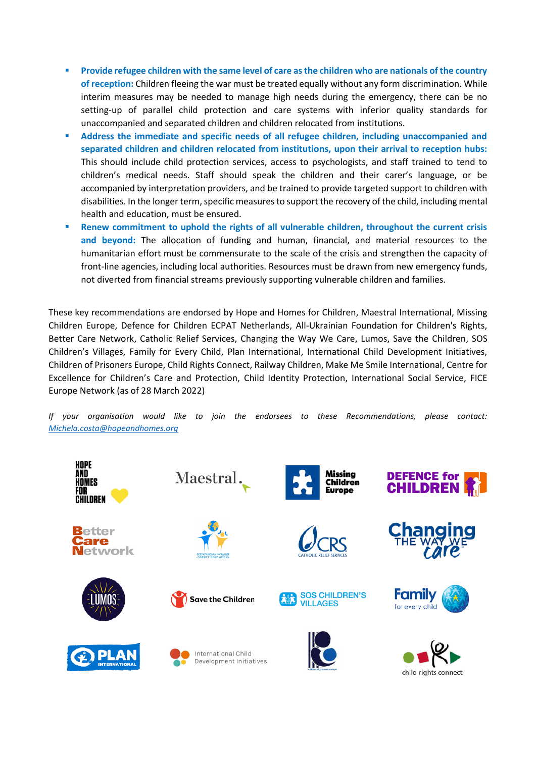- Provide refugee children with the same level of care as the children who are nationals of the country **of reception:** Children fleeing the war must be treated equally without any form discrimination. While interim measures may be needed to manage high needs during the emergency, there can be no setting-up of parallel child protection and care systems with inferior quality standards for unaccompanied and separated children and children relocated from institutions.
- Address the immediate and specific needs of all refugee children, including unaccompanied and **separated children and children relocated from institutions, upon their arrival to reception hubs:**  This should include child protection services, access to psychologists, and staff trained to tend to children's medical needs. Staff should speak the children and their carer's language, or be accompanied by interpretation providers, and be trained to provide targeted support to children with disabilities. In the longer term, specific measures to support the recovery of the child, including mental health and education, must be ensured.
- Renew commitment to uphold the rights of all vulnerable children, throughout the current crisis **and beyond:** The allocation of funding and human, financial, and material resources to the humanitarian effort must be commensurate to the scale of the crisis and strengthen the capacity of front-line agencies, including local authorities. Resources must be drawn from new emergency funds, not diverted from financial streams previously supporting vulnerable children and families.

These key recommendations are endorsed by Hope and Homes for Children, Maestral International, Missing Children Europe, Defence for Children ECPAT Netherlands, All-Ukrainian Foundation for Children's Rights, Better Care Network, Catholic Relief Services, Changing the Way We Care, Lumos, Save the Children, SOS Children's Villages, Family for Every Child, Plan International, International Child Development Initiatives, Children of Prisoners Europe, Child Rights Connect, Railway Children, Make Me Smile International, Centre for Excellence for Children's Care and Protection, Child Identity Protection, International Social Service, FICE Europe Network (as of 28 March 2022)

*If your organisation would like to join the endorsees to these Recommendations, please contact: [Michela.costa@hopeandhomes.org](mailto:Michela.costa@hopeandhomes.org)*